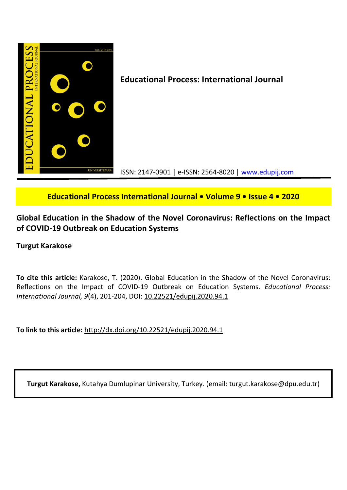

# Educational Process International Journal • Volume 9 • Issue 4 • 2020

Global Education in the Shadow of the Novel Coronavirus: Reflections on the Impact of COVID-19 Outbreak on Education Systems

### Turgut Karakose

To cite this article: Karakose, T. (2020). Global Education in the Shadow of the Novel Coronavirus: Reflections on the Impact of COVID-19 Outbreak on Education Systems. Educational Process: International Journal, 9(4), 201-204, DOI: 10.22521/edupij.2020.94.1

To link to this article: http://dx.doi.org/10.22521/edupij.2020.94.1

Turgut Karakose, Kutahya Dumlupinar University, Turkey. (email: turgut.karakose@dpu.edu.tr)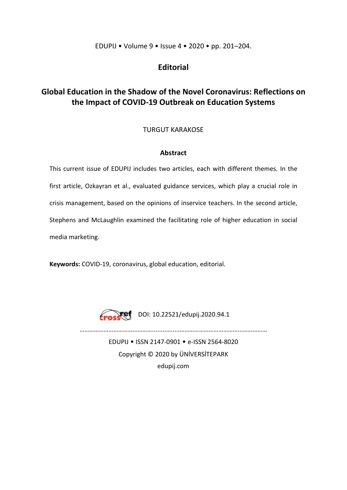### EDUPIJ • Volume 9 • Issue 4 • 2020 • pp. 201–204.

## Editorial

# Global Education in the Shadow of the Novel Coronavirus: Reflections on the Impact of COVID-19 Outbreak on Education Systems

### TURGUT KARAKOSE

### Abstract

This current issue of EDUPIJ includes two articles, each with different themes. In the first article, Ozkayran et al., evaluated guidance services, which play a crucial role in crisis management, based on the opinions of inservice teachers. In the second article, Stephens and McLaughlin examined the facilitating role of higher education in social media marketing.

Keywords: COVID-19, coronavirus, global education, editorial.



**DOI: 10.22521/edupij.2020.94.1** 

………………………………………........….....………………………………...……………

EDUPIJ • ISSN 2147-0901 • e-ISSN 2564-8020 Copyright © 2020 by ÜNİVERSİTEPARK

edupij.com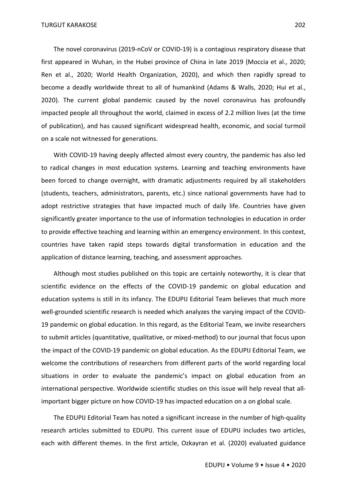The novel coronavirus (2019-nCoV or COVID-19) is a contagious respiratory disease that first appeared in Wuhan, in the Hubei province of China in late 2019 (Moccia et al., 2020; Ren et al., 2020; World Health Organization, 2020), and which then rapidly spread to become a deadly worldwide threat to all of humankind (Adams & Walls, 2020; Hui et al., 2020). The current global pandemic caused by the novel coronavirus has profoundly impacted people all throughout the world, claimed in excess of 2.2 million lives (at the time of publication), and has caused significant widespread health, economic, and social turmoil on a scale not witnessed for generations.

With COVID-19 having deeply affected almost every country, the pandemic has also led to radical changes in most education systems. Learning and teaching environments have been forced to change overnight, with dramatic adjustments required by all stakeholders (students, teachers, administrators, parents, etc.) since national governments have had to adopt restrictive strategies that have impacted much of daily life. Countries have given significantly greater importance to the use of information technologies in education in order to provide effective teaching and learning within an emergency environment. In this context, countries have taken rapid steps towards digital transformation in education and the application of distance learning, teaching, and assessment approaches.

Although most studies published on this topic are certainly noteworthy, it is clear that scientific evidence on the effects of the COVID-19 pandemic on global education and education systems is still in its infancy. The EDUPIJ Editorial Team believes that much more well-grounded scientific research is needed which analyzes the varying impact of the COVID-19 pandemic on global education. In this regard, as the Editorial Team, we invite researchers to submit articles (quantitative, qualitative, or mixed-method) to our journal that focus upon the impact of the COVID-19 pandemic on global education. As the EDUPIJ Editorial Team, we welcome the contributions of researchers from different parts of the world regarding local situations in order to evaluate the pandemic's impact on global education from an international perspective. Worldwide scientific studies on this issue will help reveal that allimportant bigger picture on how COVID-19 has impacted education on a on global scale.

The EDUPIJ Editorial Team has noted a significant increase in the number of high-quality research articles submitted to EDUPIJ. This current issue of EDUPIJ includes two articles, each with different themes. In the first article, Ozkayran et al. (2020) evaluated guidance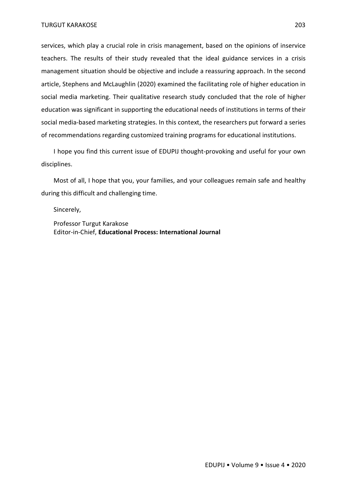services, which play a crucial role in crisis management, based on the opinions of inservice teachers. The results of their study revealed that the ideal guidance services in a crisis management situation should be objective and include a reassuring approach. In the second article, Stephens and McLaughlin (2020) examined the facilitating role of higher education in social media marketing. Their qualitative research study concluded that the role of higher education was significant in supporting the educational needs of institutions in terms of their social media-based marketing strategies. In this context, the researchers put forward a series of recommendations regarding customized training programs for educational institutions.

I hope you find this current issue of EDUPIJ thought-provoking and useful for your own disciplines.

Most of all, I hope that you, your families, and your colleagues remain safe and healthy during this difficult and challenging time.

Sincerely,

Professor Turgut Karakose Editor-in-Chief, Educational Process: International Journal